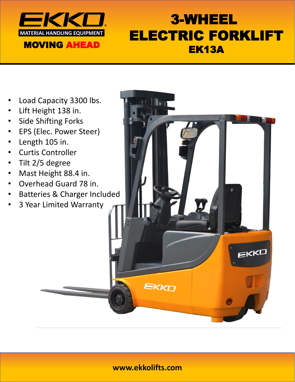

# 3-WHEEL ELECTRIC FORKLIFT EK13A

- Load Capacity 3300 lbs.
- Lift Height 138 in.
- Side Shifting Forks
- EPS (Elec. Power Steer)
- Length 105 in.
- Curtis Controller
- Tilt 2/5 degree
- Mast Height 88.4 in.
- Overhead Guard 78 in.
- Batteries & Charger Included
- 3 Year Limited Warranty



#### **www.ekkolifts.com**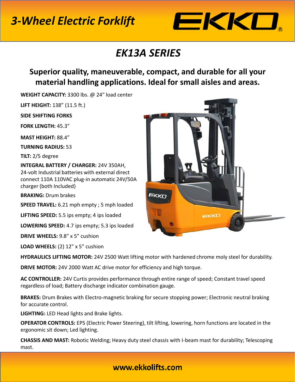

### *EK13A SERIES*

#### **Superior quality, maneuverable, compact, and durable for all your material handling applications. Ideal for small aisles and areas.**

**WEIGHT CAPACITY:** 3300 lbs. @ 24" load center

**LIFT HEIGHT:** 138" (11.5 ft.)

**SIDE SHIFTING FORKS**

**FORK LENGTH:** 45.3"

**MAST HEIGHT:** 88.4"

**TURNING RADIUS:** 53

**TILT:** 2/5 degree

**INTEGRAL BATTERY / CHARGER:** 24V 350AH, 24-volt Industrial batteries with external direct connect 110A 110VAC plug-in automatic 24V/50A charger (both Included)

**BRAKING:** Drum brakes

**SPEED TRAVEL:** 6.21 mph empty ; 5 mph loaded

**LIFTING SPEED:** 5.5 ips empty; 4 ips loaded

**LOWERING SPEED:** 4.7 ips empty; 5.3 ips loaded

**DRIVE WHEELS:** 9.8" x 5" cushion

**LOAD WHEELS:** (2) 12" x 5" cushion

**HYDRAULICS LIFTING MOTOR:** 24V 2500 Watt lifting motor with hardened chrome moly steel for durability.

**DRIVE MOTOR:** 24V 2000 Watt AC drive motor for efficiency and high torque.

**AC CONTROLLER:** 24V Curtis provides performance through entire range of speed; Constant travel speed regardless of load; Battery discharge indicator combination gauge.

**BRAKES:** Drum Brakes with Electro-magnetic braking for secure stopping power; Electronic neutral braking for accurate control.

**LIGHTING:** LED Head lights and Brake lights.

**OPERATOR CONTROLS:** EPS (Electric Power Steering), tilt lifting, lowering, horn functions are located in the ergonomic sit down; Led lighting.

**CHASSIS AND MAST:** Robotic Welding; Heavy duty steel chassis with I-beam mast for durability; Telescoping mast.



#### www.ekkolifts.com